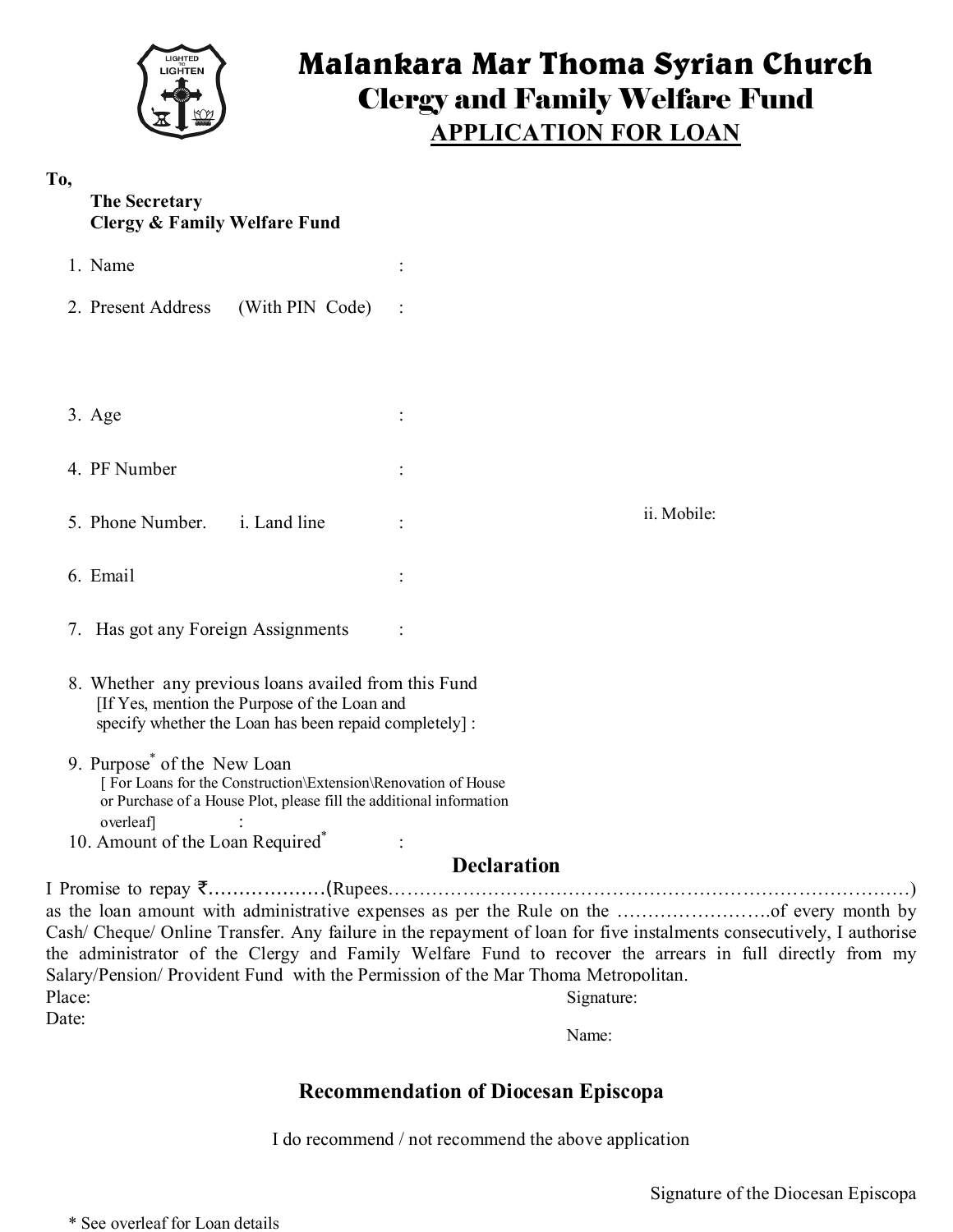

# **Malankara Mar Thoma Syrian Church** Clergy and Family Welfare Fund **APPLICATION FOR LOAN**

### **To,**

### **The Secretary Clergy & Family Welfare Fund**

| 1. Name                                              |             |
|------------------------------------------------------|-------------|
| 2. Present Address (With PIN Code) :                 |             |
|                                                      |             |
|                                                      |             |
| $3. \text{Age}$                                      |             |
| 4. PF Number                                         |             |
| 5. Phone Number. i. Land line                        | ii. Mobile: |
| 6. Email                                             |             |
| 7. Has got any Foreign Assignments                   |             |
| 8. Whether any previous loans availed from this Fund |             |

- 8. Whether any previous loans availed from this Fund [If Yes, mention the Purpose of the Loan and specify whether the Loan has been repaid completely] :
- 9. Purpose\* of the New Loan [ For Loans for the Construction\Extension\Renovation of House or Purchase of a House Plot, please fill the additional information overleaf] :
- 10. Amount of the Loan Required<sup>\*</sup> :

# **Declaration**

I Promise to repay `……………….(Rupees…………………………………………………………………………) as the loan amount with administrative expenses as per the Rule on the …………………….of every month by Cash/ Cheque/ Online Transfer. Any failure in the repayment of loan for five instalments consecutively, I authorise the administrator of the Clergy and Family Welfare Fund to recover the arrears in full directly from my Salary/Pension/ Provident Fund with the Permission of the Mar Thoma Metropolitan. Place: Date: Signature:

Name:

# **Recommendation of Diocesan Episcopa**

I do recommend / not recommend the above application